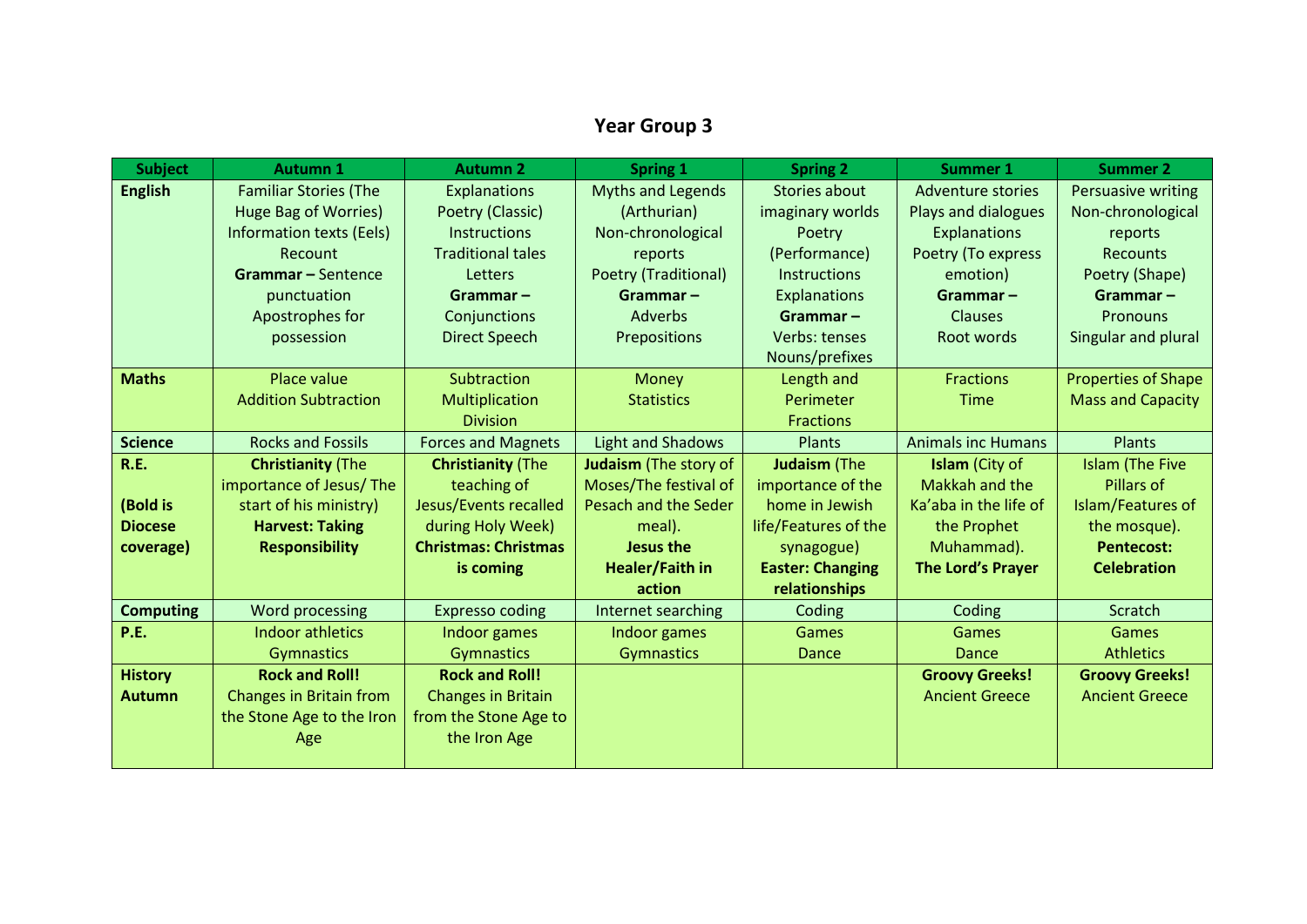## **Year Group 3**

| <b>Subject</b>   | <b>Autumn 1</b>                 | <b>Autumn 2</b>             | <b>Spring 1</b>          | <b>Spring 2</b>         | <b>Summer 1</b>            | <b>Summer 2</b>            |
|------------------|---------------------------------|-----------------------------|--------------------------|-------------------------|----------------------------|----------------------------|
| <b>English</b>   | <b>Familiar Stories (The</b>    | <b>Explanations</b>         | <b>Myths and Legends</b> | Stories about           | <b>Adventure stories</b>   | Persuasive writing         |
|                  | <b>Huge Bag of Worries)</b>     | Poetry (Classic)            | (Arthurian)              | imaginary worlds        | <b>Plays and dialogues</b> | Non-chronological          |
|                  | <b>Information texts (Eels)</b> | Instructions                | Non-chronological        | Poetry                  | <b>Explanations</b>        | reports                    |
|                  | Recount                         | <b>Traditional tales</b>    | reports                  | (Performance)           | Poetry (To express         | <b>Recounts</b>            |
|                  | <b>Grammar-Sentence</b>         | Letters                     | Poetry (Traditional)     | <b>Instructions</b>     | emotion)                   | Poetry (Shape)             |
|                  | punctuation                     | $Grammar -$                 | Grammar $-$              | Explanations            | Grammar $-$                | Grammar $-$                |
|                  | Apostrophes for                 | Conjunctions                | Adverbs                  | $Grammar -$             | <b>Clauses</b>             | Pronouns                   |
|                  | possession                      | <b>Direct Speech</b>        | Prepositions             | Verbs: tenses           | Root words                 | Singular and plural        |
|                  |                                 |                             |                          | Nouns/prefixes          |                            |                            |
| <b>Maths</b>     | Place value                     | Subtraction                 | Money                    | Length and              | <b>Fractions</b>           | <b>Properties of Shape</b> |
|                  | <b>Addition Subtraction</b>     | Multiplication              | <b>Statistics</b>        | Perimeter               | <b>Time</b>                | <b>Mass and Capacity</b>   |
|                  |                                 | <b>Division</b>             |                          | <b>Fractions</b>        |                            |                            |
| <b>Science</b>   | <b>Rocks and Fossils</b>        | <b>Forces and Magnets</b>   | <b>Light and Shadows</b> | Plants                  | <b>Animals inc Humans</b>  | <b>Plants</b>              |
| <b>R.E.</b>      | <b>Christianity (The</b>        | <b>Christianity (The</b>    | Judaism (The story of    | Judaism (The            | Islam (City of             | <b>Islam (The Five</b>     |
|                  | importance of Jesus/The         | teaching of                 | Moses/The festival of    | importance of the       | Makkah and the             | Pillars of                 |
| (Bold is         | start of his ministry)          | Jesus/Events recalled       | Pesach and the Seder     | home in Jewish          | Ka'aba in the life of      | Islam/Features of          |
| <b>Diocese</b>   | <b>Harvest: Taking</b>          | during Holy Week)           | meal).                   | life/Features of the    | the Prophet                | the mosque).               |
| coverage)        | <b>Responsibility</b>           | <b>Christmas: Christmas</b> | Jesus the                | synagogue)              | Muhammad).                 | <b>Pentecost:</b>          |
|                  |                                 | is coming                   | Healer/Faith in          | <b>Easter: Changing</b> | The Lord's Prayer          | <b>Celebration</b>         |
|                  |                                 |                             | action                   | relationships           |                            |                            |
| <b>Computing</b> | Word processing                 | <b>Expresso coding</b>      | Internet searching       | Coding                  | Coding                     | Scratch                    |
| <b>P.E.</b>      | <b>Indoor athletics</b>         | Indoor games                | Indoor games             | Games                   | Games                      | Games                      |
|                  | <b>Gymnastics</b>               | Gymnastics                  | Gymnastics               | Dance                   | Dance                      | <b>Athletics</b>           |
| <b>History</b>   | <b>Rock and Roll!</b>           | <b>Rock and Roll!</b>       |                          |                         | <b>Groovy Greeks!</b>      | <b>Groovy Greeks!</b>      |
| <b>Autumn</b>    | Changes in Britain from         | <b>Changes in Britain</b>   |                          |                         | <b>Ancient Greece</b>      | <b>Ancient Greece</b>      |
|                  | the Stone Age to the Iron       | from the Stone Age to       |                          |                         |                            |                            |
|                  | Age                             | the Iron Age                |                          |                         |                            |                            |
|                  |                                 |                             |                          |                         |                            |                            |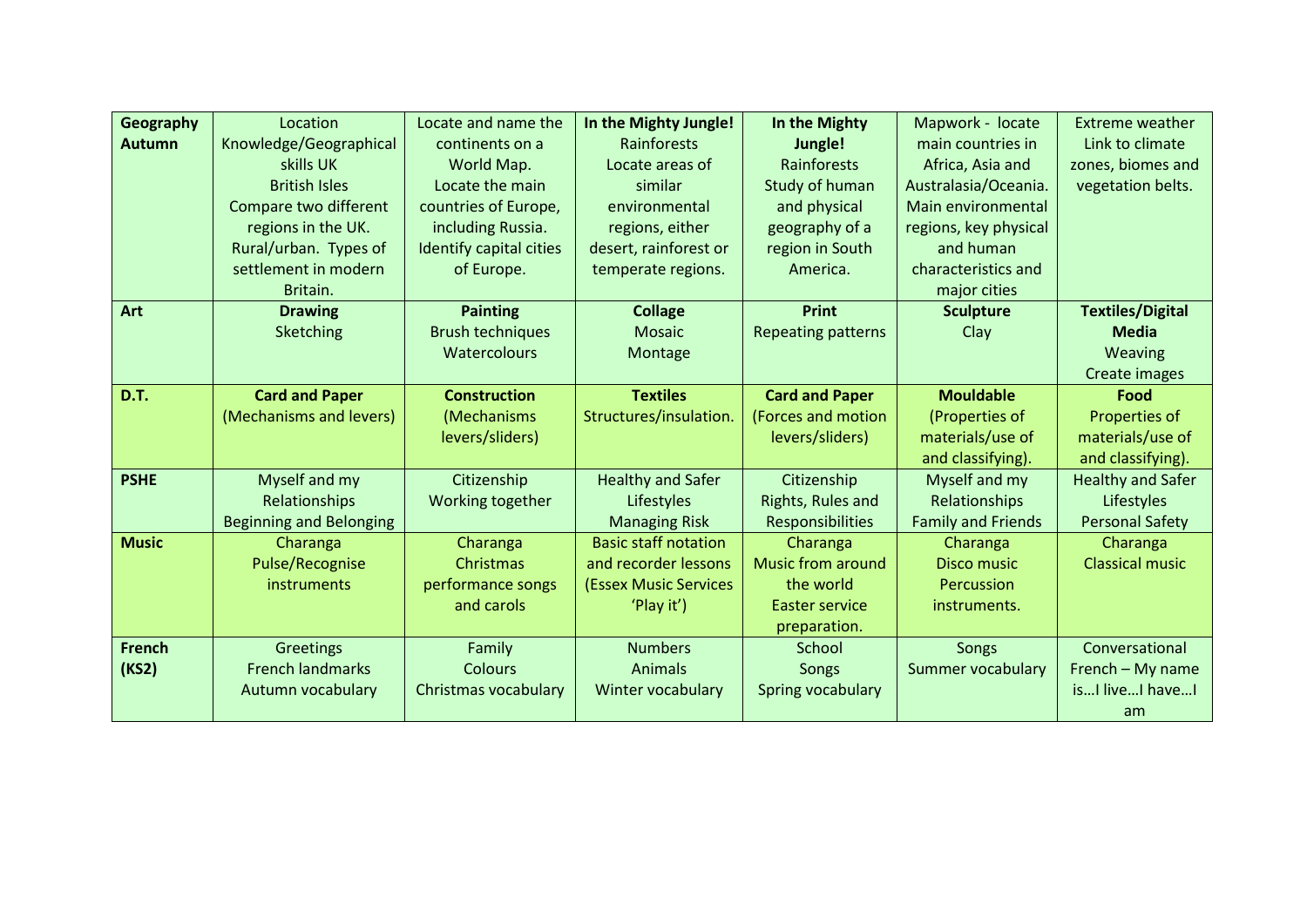| Geography     | Location                       | Locate and name the     | In the Mighty Jungle!        | In the Mighty             | Mapwork - locate          | <b>Extreme weather</b>   |
|---------------|--------------------------------|-------------------------|------------------------------|---------------------------|---------------------------|--------------------------|
| <b>Autumn</b> | Knowledge/Geographical         | continents on a         | <b>Rainforests</b>           | Jungle!                   | main countries in         | Link to climate          |
|               | skills UK                      | World Map.              | Locate areas of              | Rainforests               | Africa, Asia and          | zones, biomes and        |
|               | <b>British Isles</b>           | Locate the main         | similar                      | Study of human            | Australasia/Oceania.      | vegetation belts.        |
|               | Compare two different          | countries of Europe,    | environmental                | and physical              | Main environmental        |                          |
|               | regions in the UK.             | including Russia.       | regions, either              | geography of a            | regions, key physical     |                          |
|               | Rural/urban. Types of          | Identify capital cities | desert, rainforest or        | region in South           | and human                 |                          |
|               | settlement in modern           | of Europe.              | temperate regions.           | America.                  | characteristics and       |                          |
|               | Britain.                       |                         |                              |                           | major cities              |                          |
| Art           | <b>Drawing</b>                 | <b>Painting</b>         | <b>Collage</b>               | <b>Print</b>              | <b>Sculpture</b>          | <b>Textiles/Digital</b>  |
|               | Sketching                      | <b>Brush techniques</b> | <b>Mosaic</b>                | <b>Repeating patterns</b> | Clay                      | <b>Media</b>             |
|               |                                | <b>Watercolours</b>     | Montage                      |                           |                           | Weaving                  |
|               |                                |                         |                              |                           |                           | Create images            |
| <b>D.T.</b>   | <b>Card and Paper</b>          | <b>Construction</b>     | <b>Textiles</b>              | <b>Card and Paper</b>     | <b>Mouldable</b>          | Food                     |
|               | (Mechanisms and levers)        | (Mechanisms             | Structures/insulation.       | (Forces and motion        | (Properties of            | Properties of            |
|               |                                | levers/sliders)         |                              | levers/sliders)           | materials/use of          | materials/use of         |
|               |                                |                         |                              |                           | and classifying).         | and classifying).        |
| <b>PSHE</b>   | Myself and my                  | Citizenship             | <b>Healthy and Safer</b>     | Citizenship               | Myself and my             | <b>Healthy and Safer</b> |
|               | Relationships                  | Working together        | Lifestyles                   | Rights, Rules and         | Relationships             | Lifestyles               |
|               | <b>Beginning and Belonging</b> |                         | <b>Managing Risk</b>         | Responsibilities          | <b>Family and Friends</b> | <b>Personal Safety</b>   |
| <b>Music</b>  | Charanga                       | Charanga                | <b>Basic staff notation</b>  | Charanga                  | Charanga                  | Charanga                 |
|               | Pulse/Recognise                | Christmas               | and recorder lessons         | <b>Music from around</b>  | Disco music               | <b>Classical music</b>   |
|               | instruments                    | performance songs       | <b>(Essex Music Services</b> | the world                 | Percussion                |                          |
|               |                                | and carols              | 'Play it')                   | Easter service            | instruments.              |                          |
|               |                                |                         |                              | preparation.              |                           |                          |
| <b>French</b> | Greetings                      | Family                  | <b>Numbers</b>               | School                    | Songs                     | Conversational           |
| (KS2)         | <b>French landmarks</b>        | Colours                 | <b>Animals</b>               | Songs                     | <b>Summer vocabulary</b>  | French - My name         |
|               | Autumn vocabulary              | Christmas vocabulary    | Winter vocabulary            | Spring vocabulary         |                           | isI liveI haveI          |
|               |                                |                         |                              |                           |                           | am                       |